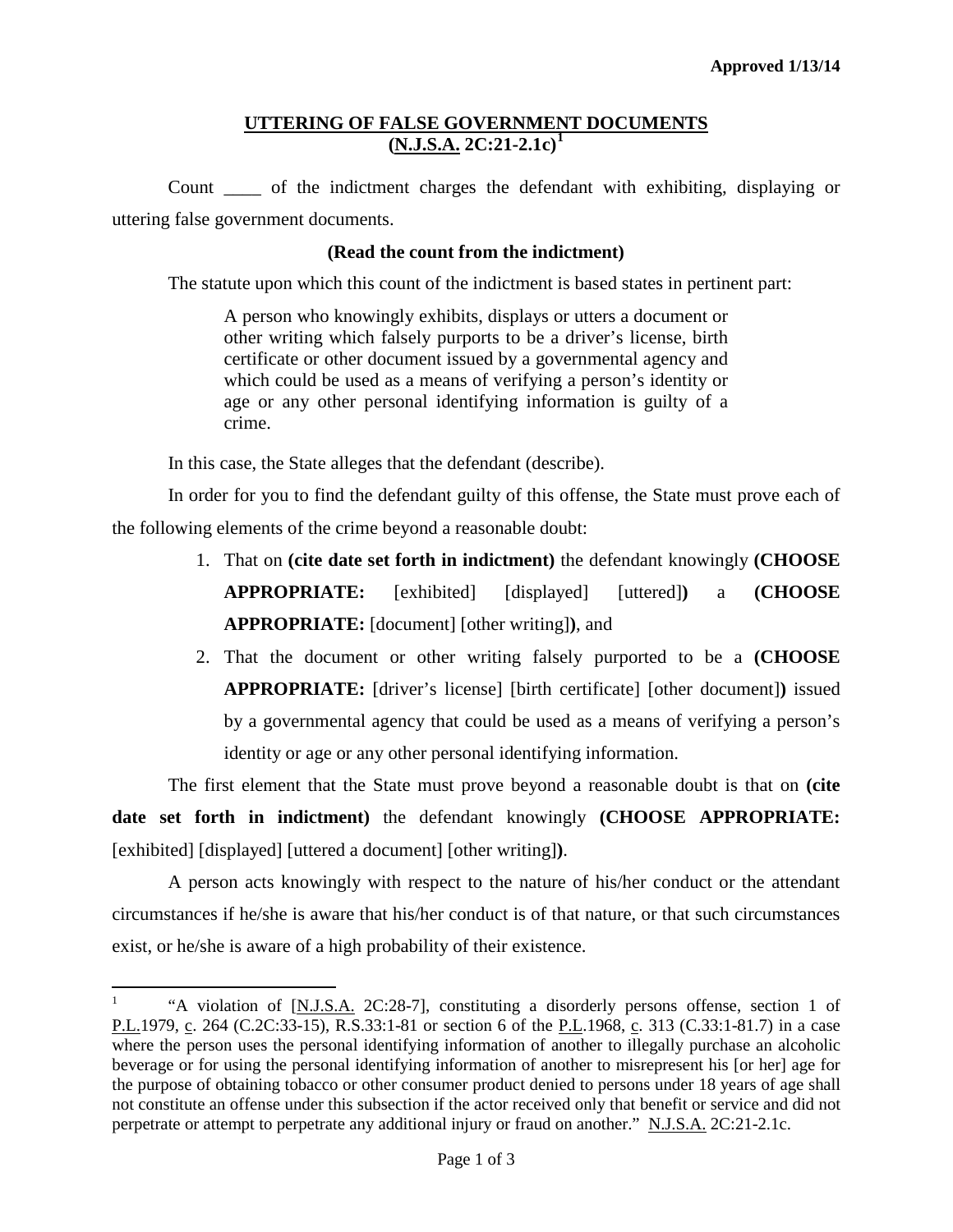## **UTTERING OF FALSE GOVERNMENT DOCUMENTS (N.J.S.A. 2C:21-2.1c) [1](#page-2-0)**

Count \_\_\_\_ of the indictment charges the defendant with exhibiting, displaying or uttering false government documents.

## **(Read the count from the indictment)**

The statute upon which this count of the indictment is based states in pertinent part:

A person who knowingly exhibits, displays or utters a document or other writing which falsely purports to be a driver's license, birth certificate or other document issued by a governmental agency and which could be used as a means of verifying a person's identity or age or any other personal identifying information is guilty of a crime.

In this case, the State alleges that the defendant (describe).

In order for you to find the defendant guilty of this offense, the State must prove each of the following elements of the crime beyond a reasonable doubt:

- 1. That on **(cite date set forth in indictment)** the defendant knowingly **(CHOOSE APPROPRIATE:** [exhibited] [displayed] [uttered]**)** a **(CHOOSE APPROPRIATE:** [document] [other writing]**)**, and
- 2. That the document or other writing falsely purported to be a **(CHOOSE APPROPRIATE:** [driver's license] [birth certificate] [other document]**)** issued by a governmental agency that could be used as a means of verifying a person's identity or age or any other personal identifying information.

The first element that the State must prove beyond a reasonable doubt is that on **(cite date set forth in indictment)** the defendant knowingly **(CHOOSE APPROPRIATE:** [exhibited] [displayed] [uttered a document] [other writing]**)**.

A person acts knowingly with respect to the nature of his/her conduct or the attendant circumstances if he/she is aware that his/her conduct is of that nature, or that such circumstances exist, or he/she is aware of a high probability of their existence.

<span id="page-0-0"></span><sup>&</sup>lt;sup>1</sup> "A violation of [N.J.S.A. 2C:28-7], constituting a disorderly persons offense, section 1 of P.L.1979, c. 264 (C.2C:33-15), R.S.33:1-81 or section 6 of the P.L.1968, c. 313 (C.33:1-81.7) in a case where the person uses the personal identifying information of another to illegally purchase an alcoholic beverage or for using the personal identifying information of another to misrepresent his [or her] age for the purpose of obtaining tobacco or other consumer product denied to persons under 18 years of age shall not constitute an offense under this subsection if the actor received only that benefit or service and did not perpetrate or attempt to perpetrate any additional injury or fraud on another." N.J.S.A. 2C:21-2.1c.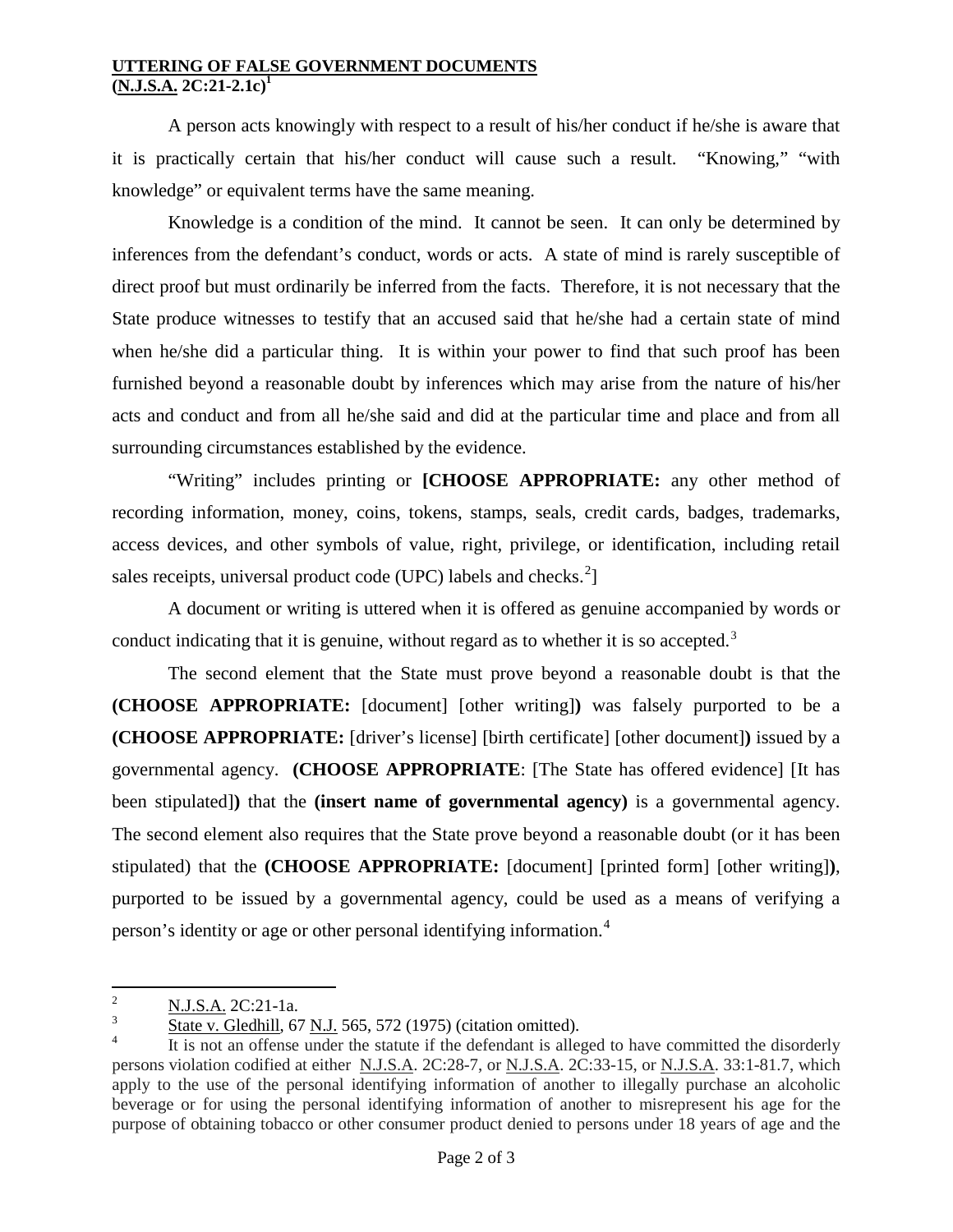## **UTTERING OF FALSE GOVERNMENT DOCUMENTS**  $(N.J.S.A. 2C:21-2.1c)^1$

A person acts knowingly with respect to a result of his/her conduct if he/she is aware that it is practically certain that his/her conduct will cause such a result. "Knowing," "with knowledge" or equivalent terms have the same meaning.

Knowledge is a condition of the mind. It cannot be seen. It can only be determined by inferences from the defendant's conduct, words or acts. A state of mind is rarely susceptible of direct proof but must ordinarily be inferred from the facts. Therefore, it is not necessary that the State produce witnesses to testify that an accused said that he/she had a certain state of mind when he/she did a particular thing. It is within your power to find that such proof has been furnished beyond a reasonable doubt by inferences which may arise from the nature of his/her acts and conduct and from all he/she said and did at the particular time and place and from all surrounding circumstances established by the evidence.

"Writing" includes printing or **[CHOOSE APPROPRIATE:** any other method of recording information, money, coins, tokens, stamps, seals, credit cards, badges, trademarks, access devices, and other symbols of value, right, privilege, or identification, including retail sales receipts, universal product code (UPC) labels and checks. $^{2}$  $^{2}$  $^{2}$ ]

A document or writing is uttered when it is offered as genuine accompanied by words or conduct indicating that it is genuine, without regard as to whether it is so accepted. $3$ 

The second element that the State must prove beyond a reasonable doubt is that the **(CHOOSE APPROPRIATE:** [document] [other writing]**)** was falsely purported to be a **(CHOOSE APPROPRIATE:** [driver's license] [birth certificate] [other document]**)** issued by a governmental agency. **(CHOOSE APPROPRIATE**: [The State has offered evidence] [It has been stipulated]**)** that the **(insert name of governmental agency)** is a governmental agency. The second element also requires that the State prove beyond a reasonable doubt (or it has been stipulated) that the **(CHOOSE APPROPRIATE:** [document] [printed form] [other writing]**)**, purported to be issued by a governmental agency, could be used as a means of verifying a person's identity or age or other personal identifying information.[4](#page-1-1)

 $\frac{2}{3}$  N.J.S.A. 2C:21-1a.

<span id="page-1-0"></span><sup>3</sup> State v. Gledhill, 67 N.J. 565, 572 (1975) (citation omitted).

<span id="page-1-2"></span><span id="page-1-1"></span>It is not an offense under the statute if the defendant is alleged to have committed the disorderly persons violation codified at either N.J.S.A. 2C:28-7, or N.J.S.A. 2C:33-15, or N.J.S.A. 33:1-81.7, which apply to the use of the personal identifying information of another to illegally purchase an alcoholic beverage or for using the personal identifying information of another to misrepresent his age for the purpose of obtaining tobacco or other consumer product denied to persons under 18 years of age and the